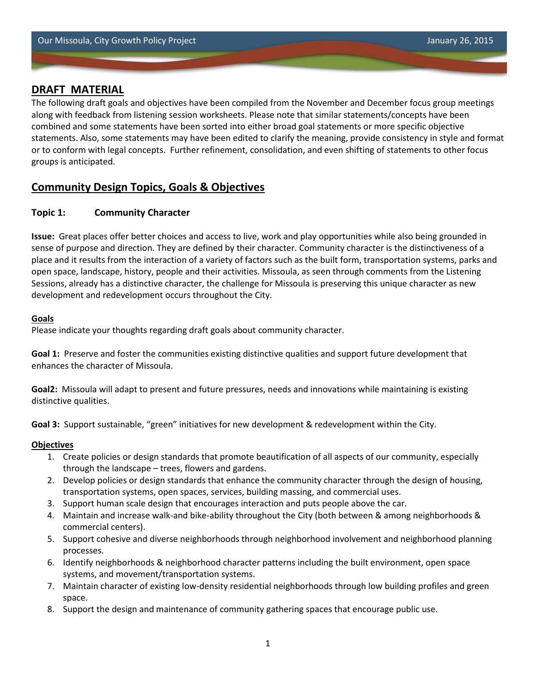The following draft goals and objectives have been compiled from the November and December focus group meetings along with feedback from listening session worksheets. Please note that similar statements/concepts have been combined and some statements have been sorted into either broad goal statements or more specific objective statements. Also, some statements may have been edited to clarify the meaning, provide consistency in style and format or to conform with legal concepts. Further refinement, consolidation, and even shifting of statements to other focus groups is anticipated.

# **Community Design Topics, Goals & Objectives**

## **Topic 1: Community Character**

**Issue:** Great places offer better choices and access to live, work and play opportunities while also being grounded in sense of purpose and direction. They are defined by their character. Community character is the distinctiveness of a place and it results from the interaction of a variety of factors such as the built form, transportation systems, parks and open space, landscape, history, people and their activities. Missoula, as seen through comments from the Listening Sessions, already has a distinctive character, the challenge for Missoula is preserving this unique character as new development and redevelopment occurs throughout the City.

### **Goals**

Please indicate your thoughts regarding draft goals about community character.

**Goal 1:** Preserve and foster the communities existing distinctive qualities and support future development that enhances the character of Missoula.

**Goal2:** Missoula will adapt to present and future pressures, needs and innovations while maintaining is existing distinctive qualities.

**Goal 3:** Support sustainable, "green" initiatives for new development & redevelopment within the City.

- 1. Create policies or design standards that promote beautification of all aspects of our community, especially through the landscape – trees, flowers and gardens.
- 2. Develop policies or design standards that enhance the community character through the design of housing, transportation systems, open spaces, services, building massing, and commercial uses.
- 3. Support human scale design that encourages interaction and puts people above the car.
- 4. Maintain and increase walk-and bike-ability throughout the City (both between & among neighborhoods & commercial centers).
- 5. Support cohesive and diverse neighborhoods through neighborhood involvement and neighborhood planning processes.
- 6. Identify neighborhoods & neighborhood character patterns including the built environment, open space systems, and movement/transportation systems.
- 7. Maintain character of existing low-density residential neighborhoods through low building profiles and green space.
- 8. Support the design and maintenance of community gathering spaces that encourage public use.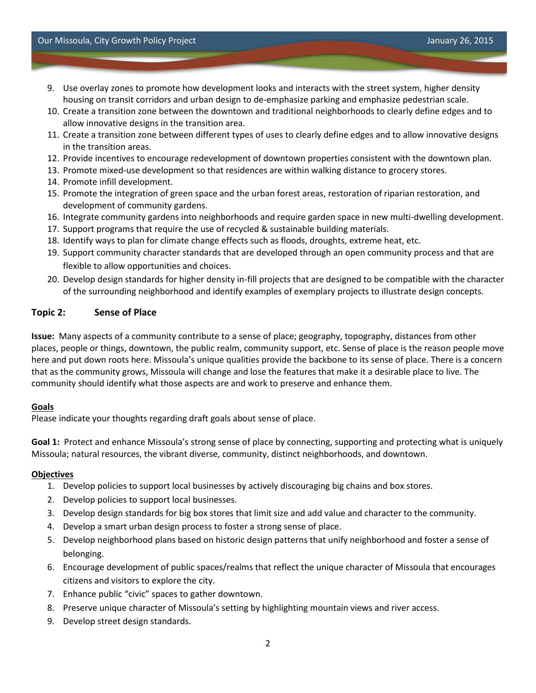- 9. Use overlay zones to promote how development looks and interacts with the street system, higher density housing on transit corridors and urban design to de-emphasize parking and emphasize pedestrian scale.
- 10. Create a transition zone between the downtown and traditional neighborhoods to clearly define edges and to allow innovative designs in the transition area.
- 11. Create a transition zone between different types of uses to clearly define edges and to allow innovative designs in the transition areas.
- 12. Provide incentives to encourage redevelopment of downtown properties consistent with the downtown plan.
- 13. Promote mixed-use development so that residences are within walking distance to grocery stores.
- 14. Promote infill development.
- 15. Promote the integration of green space and the urban forest areas, restoration of riparian restoration, and development of community gardens.
- 16. Integrate community gardens into neighborhoods and require garden space in new multi-dwelling development.
- 17. Support programs that require the use of recycled & sustainable building materials.
- 18. Identify ways to plan for climate change effects such as floods, droughts, extreme heat, etc.
- 19. Support community character standards that are developed through an open community process and that are flexible to allow opportunities and choices.
- 20. Develop design standards for higher density in-fill projects that are designed to be compatible with the character of the surrounding neighborhood and identify examples of exemplary projects to illustrate design concepts.

### **Topic 2: Sense of Place**

**Issue:** Many aspects of a community contribute to a sense of place; geography, topography, distances from other places, people or things, downtown, the public realm, community support, etc. Sense of place is the reason people move here and put down roots here. Missoula's unique qualities provide the backbone to its sense of place. There is a concern that as the community grows, Missoula will change and lose the features that make it a desirable place to live. The community should identify what those aspects are and work to preserve and enhance them.

#### **Goals**

Please indicate your thoughts regarding draft goals about sense of place.

**Goal 1:** Protect and enhance Missoula's strong sense of place by connecting, supporting and protecting what is uniquely Missoula; natural resources, the vibrant diverse, community, distinct neighborhoods, and downtown.

- 1. Develop policies to support local businesses by actively discouraging big chains and box stores.
- 2. Develop policies to support local businesses.
- 3. Develop design standards for big box stores that limit size and add value and character to the community.
- 4. Develop a smart urban design process to foster a strong sense of place.
- 5. Develop neighborhood plans based on historic design patterns that unify neighborhood and foster a sense of belonging.
- 6. Encourage development of public spaces/realms that reflect the unique character of Missoula that encourages citizens and visitors to explore the city.
- 7. Enhance public "civic" spaces to gather downtown.
- 8. Preserve unique character of Missoula's setting by highlighting mountain views and river access.
- 9. Develop street design standards.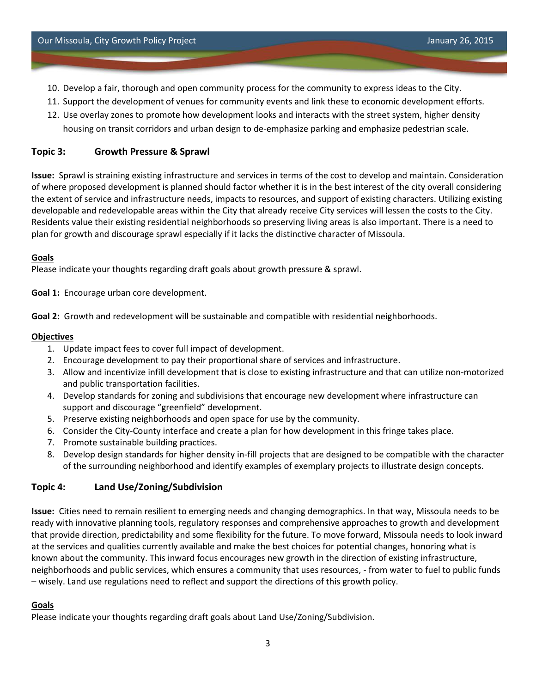- 10. Develop a fair, thorough and open community process for the community to express ideas to the City.
- 11. Support the development of venues for community events and link these to economic development efforts.
- 12. Use overlay zones to promote how development looks and interacts with the street system, higher density housing on transit corridors and urban design to de-emphasize parking and emphasize pedestrian scale.

### **Topic 3: Growth Pressure & Sprawl**

**Issue:** Sprawl is straining existing infrastructure and services in terms of the cost to develop and maintain. Consideration of where proposed development is planned should factor whether it is in the best interest of the city overall considering the extent of service and infrastructure needs, impacts to resources, and support of existing characters. Utilizing existing developable and redevelopable areas within the City that already receive City services will lessen the costs to the City. Residents value their existing residential neighborhoods so preserving living areas is also important. There is a need to plan for growth and discourage sprawl especially if it lacks the distinctive character of Missoula.

### **Goals**

Please indicate your thoughts regarding draft goals about growth pressure & sprawl.

**Goal 1:** Encourage urban core development.

**Goal 2:** Growth and redevelopment will be sustainable and compatible with residential neighborhoods.

### **Objectives**

- 1. Update impact fees to cover full impact of development.
- 2. Encourage development to pay their proportional share of services and infrastructure.
- 3. Allow and incentivize infill development that is close to existing infrastructure and that can utilize non-motorized and public transportation facilities.
- 4. Develop standards for zoning and subdivisions that encourage new development where infrastructure can support and discourage "greenfield" development.
- 5. Preserve existing neighborhoods and open space for use by the community.
- 6. Consider the City-County interface and create a plan for how development in this fringe takes place.
- 7. Promote sustainable building practices.
- 8. Develop design standards for higher density in-fill projects that are designed to be compatible with the character of the surrounding neighborhood and identify examples of exemplary projects to illustrate design concepts.

### **Topic 4: Land Use/Zoning/Subdivision**

**Issue:** Cities need to remain resilient to emerging needs and changing demographics. In that way, Missoula needs to be ready with innovative planning tools, regulatory responses and comprehensive approaches to growth and development that provide direction, predictability and some flexibility for the future. To move forward, Missoula needs to look inward at the services and qualities currently available and make the best choices for potential changes, honoring what is known about the community. This inward focus encourages new growth in the direction of existing infrastructure, neighborhoods and public services, which ensures a community that uses resources, - from water to fuel to public funds – wisely. Land use regulations need to reflect and support the directions of this growth policy.

#### **Goals**

Please indicate your thoughts regarding draft goals about Land Use/Zoning/Subdivision.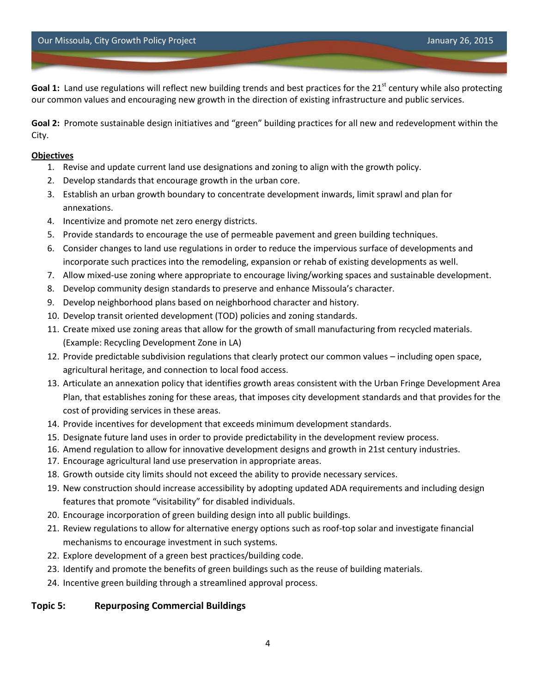**Goal 1:** Land use regulations will reflect new building trends and best practices for the 21<sup>st</sup> century while also protecting our common values and encouraging new growth in the direction of existing infrastructure and public services.

**Goal 2:** Promote sustainable design initiatives and "green" building practices for all new and redevelopment within the City.

#### **Objectives**

- 1. Revise and update current land use designations and zoning to align with the growth policy.
- 2. Develop standards that encourage growth in the urban core.
- 3. Establish an urban growth boundary to concentrate development inwards, limit sprawl and plan for annexations.
- 4. Incentivize and promote net zero energy districts.
- 5. Provide standards to encourage the use of permeable pavement and green building techniques.
- 6. Consider changes to land use regulations in order to reduce the impervious surface of developments and incorporate such practices into the remodeling, expansion or rehab of existing developments as well.
- 7. Allow mixed-use zoning where appropriate to encourage living/working spaces and sustainable development.
- 8. Develop community design standards to preserve and enhance Missoula's character.
- 9. Develop neighborhood plans based on neighborhood character and history.
- 10. Develop transit oriented development (TOD) policies and zoning standards.
- 11. Create mixed use zoning areas that allow for the growth of small manufacturing from recycled materials. (Example: Recycling Development Zone in LA)
- 12. Provide predictable subdivision regulations that clearly protect our common values including open space, agricultural heritage, and connection to local food access.
- 13. Articulate an annexation policy that identifies growth areas consistent with the Urban Fringe Development Area Plan, that establishes zoning for these areas, that imposes city development standards and that provides for the cost of providing services in these areas.
- 14. Provide incentives for development that exceeds minimum development standards.
- 15. Designate future land uses in order to provide predictability in the development review process.
- 16. Amend regulation to allow for innovative development designs and growth in 21st century industries.
- 17. Encourage agricultural land use preservation in appropriate areas.
- 18. Growth outside city limits should not exceed the ability to provide necessary services.
- 19. New construction should increase accessibility by adopting updated ADA requirements and including design features that promote "visitability" for disabled individuals.
- 20. Encourage incorporation of green building design into all public buildings.
- 21. Review regulations to allow for alternative energy options such as roof-top solar and investigate financial mechanisms to encourage investment in such systems.
- 22. Explore development of a green best practices/building code.
- 23. Identify and promote the benefits of green buildings such as the reuse of building materials.
- 24. Incentive green building through a streamlined approval process.

# **Topic 5: Repurposing Commercial Buildings**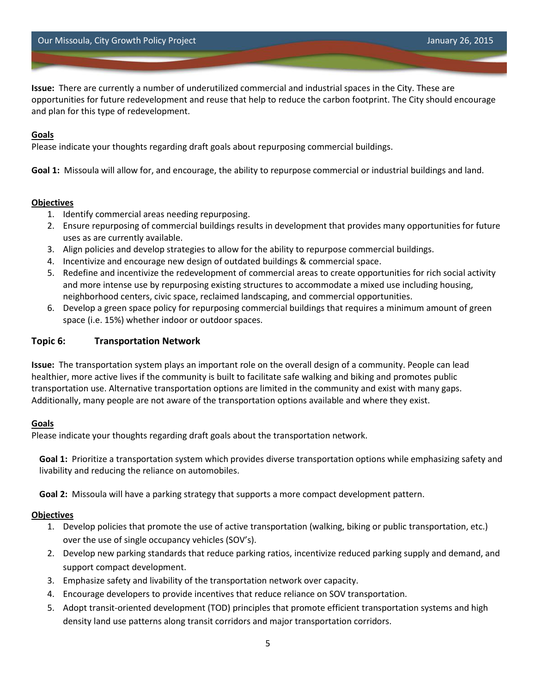Our Missoula, City Growth Policy Project January 26, 2015

**Issue:** There are currently a number of underutilized commercial and industrial spaces in the City. These are opportunities for future redevelopment and reuse that help to reduce the carbon footprint. The City should encourage and plan for this type of redevelopment.

### **Goals**

Please indicate your thoughts regarding draft goals about repurposing commercial buildings.

**Goal 1:** Missoula will allow for, and encourage, the ability to repurpose commercial or industrial buildings and land.

### **Objectives**

- 1. Identify commercial areas needing repurposing.
- 2. Ensure repurposing of commercial buildings results in development that provides many opportunities for future uses as are currently available.
- 3. Align policies and develop strategies to allow for the ability to repurpose commercial buildings.
- 4. Incentivize and encourage new design of outdated buildings & commercial space.
- 5. Redefine and incentivize the redevelopment of commercial areas to create opportunities for rich social activity and more intense use by repurposing existing structures to accommodate a mixed use including housing, neighborhood centers, civic space, reclaimed landscaping, and commercial opportunities.
- 6. Develop a green space policy for repurposing commercial buildings that requires a minimum amount of green space (i.e. 15%) whether indoor or outdoor spaces.

### **Topic 6: Transportation Network**

**Issue:** The transportation system plays an important role on the overall design of a community. People can lead healthier, more active lives if the community is built to facilitate safe walking and biking and promotes public transportation use. Alternative transportation options are limited in the community and exist with many gaps. Additionally, many people are not aware of the transportation options available and where they exist.

#### **Goals**

Please indicate your thoughts regarding draft goals about the transportation network.

**Goal 1:** Prioritize a transportation system which provides diverse transportation options while emphasizing safety and livability and reducing the reliance on automobiles.

**Goal 2:** Missoula will have a parking strategy that supports a more compact development pattern.

- 1. Develop policies that promote the use of active transportation (walking, biking or public transportation, etc.) over the use of single occupancy vehicles (SOV's).
- 2. Develop new parking standards that reduce parking ratios, incentivize reduced parking supply and demand, and support compact development.
- 3. Emphasize safety and livability of the transportation network over capacity.
- 4. Encourage developers to provide incentives that reduce reliance on SOV transportation.
- 5. Adopt transit-oriented development (TOD) principles that promote efficient transportation systems and high density land use patterns along transit corridors and major transportation corridors.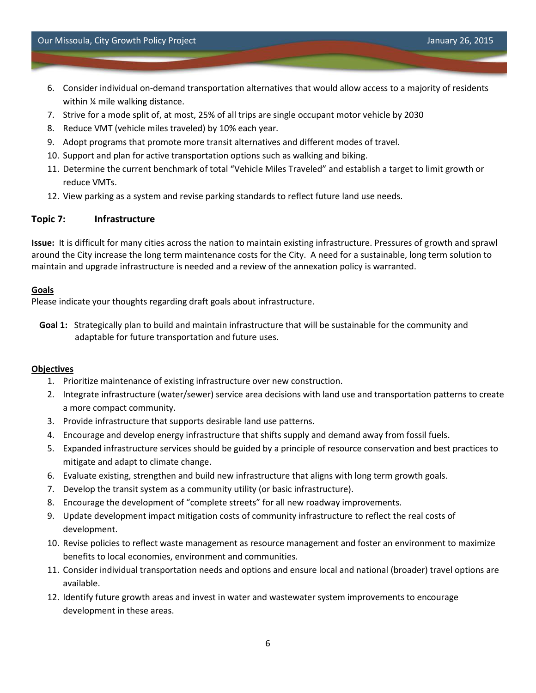- 6. Consider individual on-demand transportation alternatives that would allow access to a majority of residents within ¼ mile walking distance.
- 7. Strive for a mode split of, at most, 25% of all trips are single occupant motor vehicle by 2030
- 8. Reduce VMT (vehicle miles traveled) by 10% each year.
- 9. Adopt programs that promote more transit alternatives and different modes of travel.
- 10. Support and plan for active transportation options such as walking and biking.
- 11. Determine the current benchmark of total "Vehicle Miles Traveled" and establish a target to limit growth or reduce VMTs.
- 12. View parking as a system and revise parking standards to reflect future land use needs.

## **Topic 7: Infrastructure**

**Issue:** It is difficult for many cities across the nation to maintain existing infrastructure. Pressures of growth and sprawl around the City increase the long term maintenance costs for the City. A need for a sustainable, long term solution to maintain and upgrade infrastructure is needed and a review of the annexation policy is warranted.

### **Goals**

Please indicate your thoughts regarding draft goals about infrastructure.

**Goal 1:** Strategically plan to build and maintain infrastructure that will be sustainable for the community and adaptable for future transportation and future uses.

- 1. Prioritize maintenance of existing infrastructure over new construction.
- 2. Integrate infrastructure (water/sewer) service area decisions with land use and transportation patterns to create a more compact community.
- 3. Provide infrastructure that supports desirable land use patterns.
- 4. Encourage and develop energy infrastructure that shifts supply and demand away from fossil fuels.
- 5. Expanded infrastructure services should be guided by a principle of resource conservation and best practices to mitigate and adapt to climate change.
- 6. Evaluate existing, strengthen and build new infrastructure that aligns with long term growth goals.
- 7. Develop the transit system as a community utility (or basic infrastructure).
- 8. Encourage the development of "complete streets" for all new roadway improvements.
- 9. Update development impact mitigation costs of community infrastructure to reflect the real costs of development.
- 10. Revise policies to reflect waste management as resource management and foster an environment to maximize benefits to local economies, environment and communities.
- 11. Consider individual transportation needs and options and ensure local and national (broader) travel options are available.
- 12. Identify future growth areas and invest in water and wastewater system improvements to encourage development in these areas.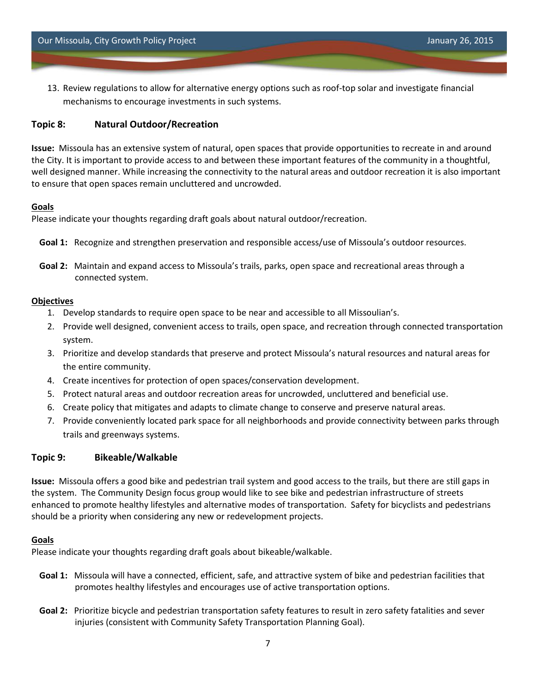13. Review regulations to allow for alternative energy options such as roof-top solar and investigate financial mechanisms to encourage investments in such systems.

## **Topic 8: Natural Outdoor/Recreation**

**Issue:** Missoula has an extensive system of natural, open spaces that provide opportunities to recreate in and around the City. It is important to provide access to and between these important features of the community in a thoughtful, well designed manner. While increasing the connectivity to the natural areas and outdoor recreation it is also important to ensure that open spaces remain uncluttered and uncrowded.

### **Goals**

Please indicate your thoughts regarding draft goals about natural outdoor/recreation.

- **Goal 1:** Recognize and strengthen preservation and responsible access/use of Missoula's outdoor resources.
- **Goal 2:** Maintain and expand access to Missoula's trails, parks, open space and recreational areas through a connected system.

### **Objectives**

- 1. Develop standards to require open space to be near and accessible to all Missoulian's.
- 2. Provide well designed, convenient access to trails, open space, and recreation through connected transportation system.
- 3. Prioritize and develop standards that preserve and protect Missoula's natural resources and natural areas for the entire community.
- 4. Create incentives for protection of open spaces/conservation development.
- 5. Protect natural areas and outdoor recreation areas for uncrowded, uncluttered and beneficial use.
- 6. Create policy that mitigates and adapts to climate change to conserve and preserve natural areas.
- 7. Provide conveniently located park space for all neighborhoods and provide connectivity between parks through trails and greenways systems.

### **Topic 9: Bikeable/Walkable**

**Issue:** Missoula offers a good bike and pedestrian trail system and good access to the trails, but there are still gaps in the system. The Community Design focus group would like to see bike and pedestrian infrastructure of streets enhanced to promote healthy lifestyles and alternative modes of transportation. Safety for bicyclists and pedestrians should be a priority when considering any new or redevelopment projects.

#### **Goals**

Please indicate your thoughts regarding draft goals about bikeable/walkable.

- **Goal 1:** Missoula will have a connected, efficient, safe, and attractive system of bike and pedestrian facilities that promotes healthy lifestyles and encourages use of active transportation options.
- **Goal 2:** Prioritize bicycle and pedestrian transportation safety features to result in zero safety fatalities and sever injuries (consistent with Community Safety Transportation Planning Goal).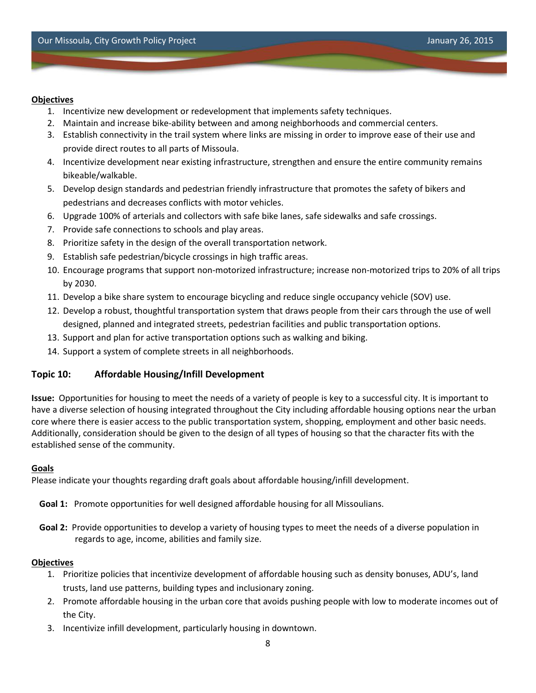#### **Objectives**

- 1. Incentivize new development or redevelopment that implements safety techniques.
- 2. Maintain and increase bike-ability between and among neighborhoods and commercial centers.
- 3. Establish connectivity in the trail system where links are missing in order to improve ease of their use and provide direct routes to all parts of Missoula.
- 4. Incentivize development near existing infrastructure, strengthen and ensure the entire community remains bikeable/walkable.
- 5. Develop design standards and pedestrian friendly infrastructure that promotes the safety of bikers and pedestrians and decreases conflicts with motor vehicles.
- 6. Upgrade 100% of arterials and collectors with safe bike lanes, safe sidewalks and safe crossings.
- 7. Provide safe connections to schools and play areas.
- 8. Prioritize safety in the design of the overall transportation network.
- 9. Establish safe pedestrian/bicycle crossings in high traffic areas.
- 10. Encourage programs that support non-motorized infrastructure; increase non-motorized trips to 20% of all trips by 2030.
- 11. Develop a bike share system to encourage bicycling and reduce single occupancy vehicle (SOV) use.
- 12. Develop a robust, thoughtful transportation system that draws people from their cars through the use of well designed, planned and integrated streets, pedestrian facilities and public transportation options.
- 13. Support and plan for active transportation options such as walking and biking.
- 14. Support a system of complete streets in all neighborhoods.

### **Topic 10: Affordable Housing/Infill Development**

**Issue:** Opportunities for housing to meet the needs of a variety of people is key to a successful city. It is important to have a diverse selection of housing integrated throughout the City including affordable housing options near the urban core where there is easier access to the public transportation system, shopping, employment and other basic needs. Additionally, consideration should be given to the design of all types of housing so that the character fits with the established sense of the community.

#### **Goals**

Please indicate your thoughts regarding draft goals about affordable housing/infill development.

- **Goal 1:** Promote opportunities for well designed affordable housing for all Missoulians.
- **Goal 2:** Provide opportunities to develop a variety of housing types to meet the needs of a diverse population in regards to age, income, abilities and family size.

- 1. Prioritize policies that incentivize development of affordable housing such as density bonuses, ADU's, land trusts, land use patterns, building types and inclusionary zoning.
- 2. Promote affordable housing in the urban core that avoids pushing people with low to moderate incomes out of the City.
- 3. Incentivize infill development, particularly housing in downtown.